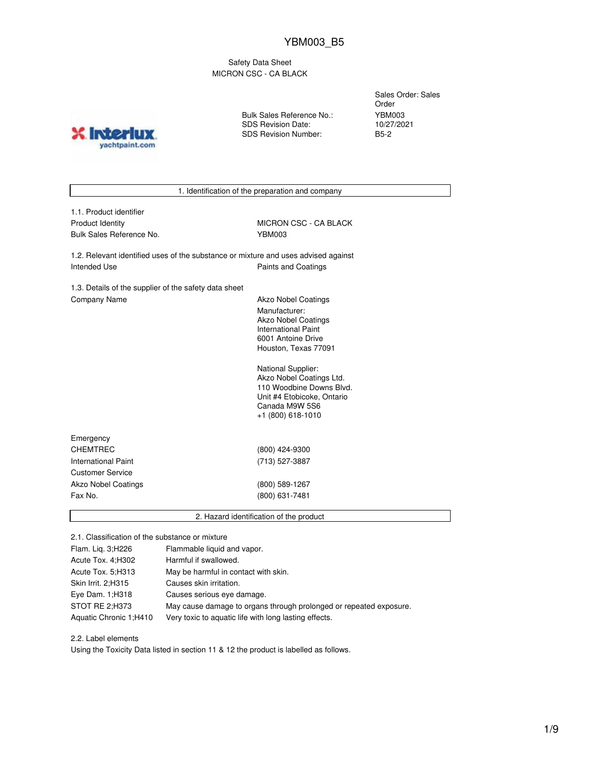Safety Data Sheet MICRON CSC - CA BLACK

**INTO?** yachtpaint.com Bulk Sales Reference No.: SDS Revision Date: SDS Revision Number:

Sales Order: Sales Order YBM003 10/27/2021 B5-2

1. Identification of the preparation and company

| 1.1. Product identifier |
|-------------------------|
| Product Identity        |
| Bulk Sales Reference No |

MICRON CSC - CA BLACK bulk Sales Reference No. 31 YBM003

1.2. Relevant identified uses of the substance or mixture and uses advised against Intended Use **Paints and Coatings** 

1.3. Details of the supplier of the safety data sheet Company Name **Akzo Nobel Coatings** 

Manufacturer: Akzo Nobel Coatings International Paint 6001 Antoine Drive Houston, Texas 77091

National Supplier: Akzo Nobel Coatings Ltd. 110 Woodbine Downs Blvd. Unit #4 Etobicoke, Ontario Canada M9W 5S6 +1 (800) 618-1010

| Emergency                  |                |  |
|----------------------------|----------------|--|
| <b>CHEMTREC</b>            | (800) 424-9300 |  |
| International Paint        | (713) 527-3887 |  |
| <b>Customer Service</b>    |                |  |
| <b>Akzo Nobel Coatings</b> | (800) 589-1267 |  |
| Fax No.                    | (800) 631-7481 |  |
|                            |                |  |

2. Hazard identification of the product

2.1. Classification of the substance or mixture

| Flam. Lig. 3;H226      | Flammable liquid and vapor.                                        |
|------------------------|--------------------------------------------------------------------|
| Acute Tox. 4; H302     | Harmful if swallowed.                                              |
| Acute Tox. 5; H313     | May be harmful in contact with skin.                               |
| Skin Irrit. 2:H315     | Causes skin irritation.                                            |
| Eye Dam. 1; H318       | Causes serious eye damage.                                         |
| STOT RE 2:H373         | May cause damage to organs through prolonged or repeated exposure. |
| Aquatic Chronic 1;H410 | Very toxic to aquatic life with long lasting effects.              |

2.2. Label elements

Using the Toxicity Data listed in section 11 & 12 the product is labelled as follows.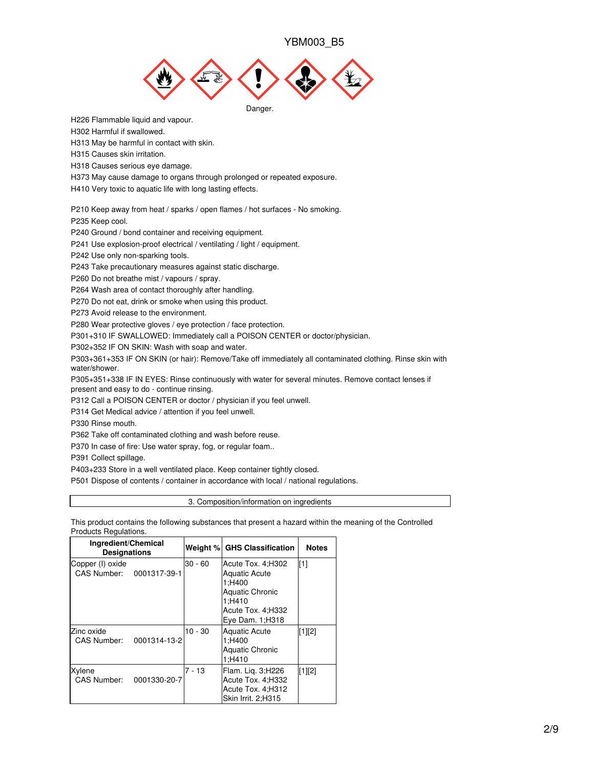

H226 Flammable liquid and vapour.

H302 Harmful if swallowed.

H313 May be harmful in contact with skin.

H315 Causes skin irritation.

H318 Causes serious eye damage.

H373 May cause damage to organs through prolonged or repeated exposure.

H410 Very toxic to aquatic life with long lasting effects.

P210 Keep away from heat / sparks / open flames / hot surfaces - No smoking.

P235 Keep cool.

P240 Ground / bond container and receiving equipment.

P241 Use explosion-proof electrical / ventilating / light / equipment.

P242 Use only non-sparking tools.

P243 Take precautionary measures against static discharge.

P260 Do not breathe mist / vapours / spray.

P264 Wash area of contact thoroughly after handling.

P270 Do not eat, drink or smoke when using this product.

P273 Avoid release to the environment.

P280 Wear protective gloves / eye protection / face protection.

P301+310 IF SWALLOWED: Immediately call a POISON CENTER or doctor/physician.

P302+352 IF ON SKIN: Wash with soap and water.

P303+361+353 IF ON SKIN (or hair): Remove/Take off immediately all contaminated clothing. Rinse skin with water/shower.

P305+351+338 IF IN EYES: Rinse continuously with water for several minutes. Remove contact lenses if present and easy to do - continue rinsing.

P312 Call a POISON CENTER or doctor / physician if you feel unwell.

P314 Get Medical advice / attention if you feel unwell.

P330 Rinse mouth.

P362 Take off contaminated clothing and wash before reuse.

P370 In case of fire: Use water spray, fog, or regular foam..

P391 Collect spillage.

P403+233 Store in a well ventilated place. Keep container tightly closed.

P501 Dispose of contents / container in accordance with local / national regulations.

3. Composition/information on ingredients

This product contains the following substances that present a hazard within the meaning of the Controlled Products Regulations.

| Ingredient/Chemical<br><b>Designations</b>   |              |           | Weight % GHS Classification                                                                                                      | <b>Notes</b> |
|----------------------------------------------|--------------|-----------|----------------------------------------------------------------------------------------------------------------------------------|--------------|
| Copper (I) oxide<br>CAS Number: 0001317-39-1 |              | $30 - 60$ | Acute Tox. 4: H302<br><b>Aquatic Acute</b><br>1:H400<br><b>Aquatic Chronic</b><br>1:H410<br>Acute Tox. 4;H332<br>Eye Dam. 1;H318 | [1]          |
| Zinc oxide<br><b>CAS Number:</b>             | 0001314-13-2 | $10 - 30$ | <b>Aquatic Acute</b><br>1:H400<br><b>Aquatic Chronic</b><br>1:H410                                                               | [1][2]       |
| Xylene<br>CAS Number:                        | 0001330-20-7 | $7 - 13$  | Flam. Lig. 3; H226<br>Acute Tox. 4;H332<br>Acute Tox. 4;H312<br>Skin Irrit. 2;H315                                               | $[1][2]$     |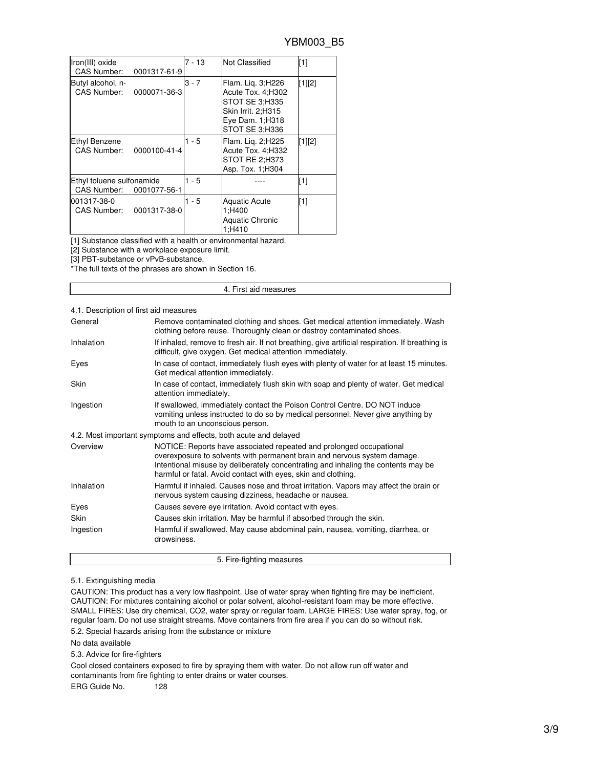| Iron(III) oxide<br>CAS Number:           | 0001317-61-9 | 7 - 13  | <b>Not Classified</b>                                                                                                        | $[1]$    |
|------------------------------------------|--------------|---------|------------------------------------------------------------------------------------------------------------------------------|----------|
| Butyl alcohol, n-<br>CAS Number:         | 0000071-36-3 | $3 - 7$ | Flam. Lig. 3;H226<br>Acute Tox. 4; H302<br>STOT SE 3:H335<br>Skin Irrit. 2:H315<br>Eye Dam. 1: H318<br><b>STOT SE 3:H336</b> | $[1][2]$ |
| Ethyl Benzene<br><b>CAS Number:</b>      | 0000100-41-4 | $1 - 5$ | Flam. Lig. 2; H225<br>Acute Tox. 4; H332<br>STOT RE 2:H373<br>Asp. Tox. 1: H304                                              | [1][2]   |
| Ethyl toluene sulfonamide<br>CAS Number: | 0001077-56-1 | 1 - 5   |                                                                                                                              | [1]      |
| 001317-38-0<br>CAS Number:               | 0001317-38-0 | $1 - 5$ | <b>Aquatic Acute</b><br>1;H400<br><b>Aquatic Chronic</b><br>1:H410                                                           | [1]      |

[1] Substance classified with a health or environmental hazard.

[2] Substance with a workplace exposure limit.

[3] PBT-substance or vPvB-substance.

\*The full texts of the phrases are shown in Section 16.

### 4. First aid measures

# 4.1. Description of first aid measures

| General     | Remove contaminated clothing and shoes. Get medical attention immediately. Wash<br>clothing before reuse. Thoroughly clean or destroy contaminated shoes.                                                                                                                                             |
|-------------|-------------------------------------------------------------------------------------------------------------------------------------------------------------------------------------------------------------------------------------------------------------------------------------------------------|
| Inhalation  | If inhaled, remove to fresh air. If not breathing, give artificial respiration. If breathing is<br>difficult, give oxygen. Get medical attention immediately.                                                                                                                                         |
| Eyes        | In case of contact, immediately flush eyes with plenty of water for at least 15 minutes.<br>Get medical attention immediately.                                                                                                                                                                        |
| <b>Skin</b> | In case of contact, immediately flush skin with soap and plenty of water. Get medical<br>attention immediately.                                                                                                                                                                                       |
| Ingestion   | If swallowed, immediately contact the Poison Control Centre. DO NOT induce<br>vomiting unless instructed to do so by medical personnel. Never give anything by<br>mouth to an unconscious person.                                                                                                     |
|             | 4.2. Most important symptoms and effects, both acute and delayed                                                                                                                                                                                                                                      |
| Overview    | NOTICE: Reports have associated repeated and prolonged occupational<br>overexposure to solvents with permanent brain and nervous system damage.<br>Intentional misuse by deliberately concentrating and inhaling the contents may be<br>harmful or fatal. Avoid contact with eyes, skin and clothing. |
| Inhalation  | Harmful if inhaled. Causes nose and throat irritation. Vapors may affect the brain or<br>nervous system causing dizziness, headache or nausea.                                                                                                                                                        |
| Eyes        | Causes severe eye irritation. Avoid contact with eyes.                                                                                                                                                                                                                                                |
| Skin        | Causes skin irritation. May be harmful if absorbed through the skin.                                                                                                                                                                                                                                  |
| Ingestion   | Harmful if swallowed. May cause abdominal pain, nausea, vomiting, diarrhea, or<br>drowsiness.                                                                                                                                                                                                         |

# 5.1. Extinguishing media

CAUTION: This product has a very low flashpoint. Use of water spray when fighting fire may be inefficient. CAUTION: For mixtures containing alcohol or polar solvent, alcohol-resistant foam may be more effective. SMALL FIRES: Use dry chemical, CO2, water spray or regular foam. LARGE FIRES: Use water spray, fog, or regular foam. Do not use straight streams. Move containers from fire area if you can do so without risk.

5. Fire-fighting measures

5.2. Special hazards arising from the substance or mixture

No data available

5.3. Advice for fire-fighters

Cool closed containers exposed to fire by spraying them with water. Do not allow run off water and contaminants from fire fighting to enter drains or water courses.

ERG Guide No. 128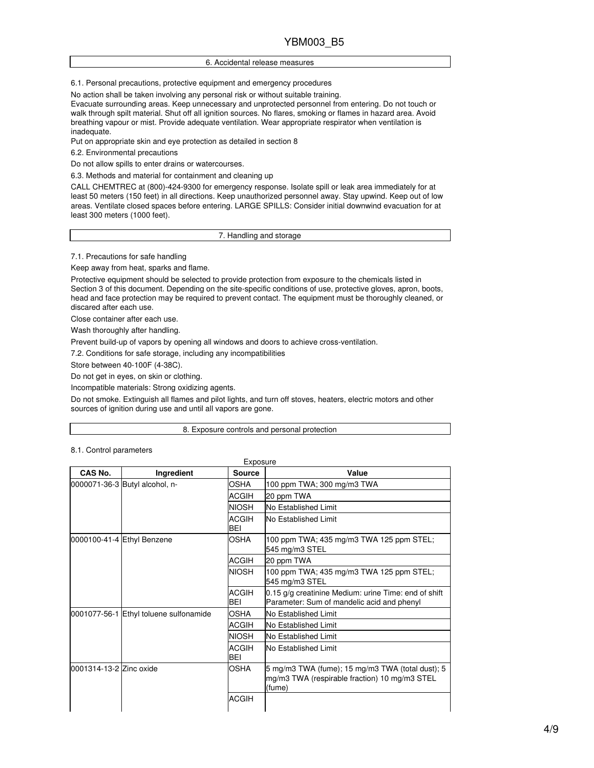### 6. Accidental release measures

6.1. Personal precautions, protective equipment and emergency procedures

No action shall be taken involving any personal risk or without suitable training.

Evacuate surrounding areas. Keep unnecessary and unprotected personnel from entering. Do not touch or walk through spilt material. Shut off all ignition sources. No flares, smoking or flames in hazard area. Avoid breathing vapour or mist. Provide adequate ventilation. Wear appropriate respirator when ventilation is inadequate.

Put on appropriate skin and eye protection as detailed in section 8

6.2. Environmental precautions

Do not allow spills to enter drains or watercourses.

6.3. Methods and material for containment and cleaning up

CALL CHEMTREC at (800)-424-9300 for emergency response. Isolate spill or leak area immediately for at least 50 meters (150 feet) in all directions. Keep unauthorized personnel away. Stay upwind. Keep out of low areas. Ventilate closed spaces before entering. LARGE SPILLS: Consider initial downwind evacuation for at least 300 meters (1000 feet).

7. Handling and storage

7.1. Precautions for safe handling

Keep away from heat, sparks and flame.

Protective equipment should be selected to provide protection from exposure to the chemicals listed in Section 3 of this document. Depending on the site-specific conditions of use, protective gloves, apron, boots, head and face protection may be required to prevent contact. The equipment must be thoroughly cleaned, or discared after each use.

Close container after each use.

Wash thoroughly after handling.

Prevent build-up of vapors by opening all windows and doors to achieve cross-ventilation.

7.2. Conditions for safe storage, including any incompatibilities

Store between 40-100F (4-38C).

Do not get in eyes, on skin or clothing.

Incompatible materials: Strong oxidizing agents.

Do not smoke. Extinguish all flames and pilot lights, and turn off stoves, heaters, electric motors and other sources of ignition during use and until all vapors are gone.

#### 8. Exposure controls and personal protection

| CAS No.                                | Ingredient                     | Source                                                     | Value                                                                                                       |
|----------------------------------------|--------------------------------|------------------------------------------------------------|-------------------------------------------------------------------------------------------------------------|
|                                        | 0000071-36-3 Butyl alcohol, n- | <b>OSHA</b>                                                | 100 ppm TWA; 300 mg/m3 TWA                                                                                  |
|                                        |                                | <b>ACGIH</b>                                               | 20 ppm TWA                                                                                                  |
|                                        |                                | <b>NIOSH</b>                                               | No Established Limit                                                                                        |
|                                        |                                | <b>ACGIH</b><br><b>BEI</b>                                 | <b>INo Established Limit</b>                                                                                |
| 0000100-41-4 Ethyl Benzene             | <b>OSHA</b>                    | 100 ppm TWA; 435 mg/m3 TWA 125 ppm STEL;<br>545 mg/m3 STEL |                                                                                                             |
|                                        |                                | <b>ACGIH</b>                                               | 20 ppm TWA                                                                                                  |
|                                        | <b>NIOSH</b>                   | 100 ppm TWA; 435 mg/m3 TWA 125 ppm STEL;<br>545 mg/m3 STEL |                                                                                                             |
|                                        |                                | <b>ACGIH</b><br><b>BEI</b>                                 | 0.15 g/g creatinine Medium: urine Time: end of shift<br>Parameter: Sum of mandelic acid and phenyl          |
| 0001077-56-1 Ethyl toluene sulfonamide |                                | OSHA                                                       | <b>INo Established Limit</b>                                                                                |
|                                        |                                | <b>ACGIH</b>                                               | No Established Limit                                                                                        |
|                                        |                                | <b>NIOSH</b>                                               | No Established Limit                                                                                        |
|                                        |                                | <b>ACGIH</b><br><b>BEI</b>                                 | <b>INo Established Limit</b>                                                                                |
| 0001314-13-2 Zinc oxide                |                                | <b>OSHA</b>                                                | 5 mg/m3 TWA (fume); 15 mg/m3 TWA (total dust); 5<br>mg/m3 TWA (respirable fraction) 10 mg/m3 STEL<br>(fume) |
|                                        |                                | <b>ACGIH</b>                                               |                                                                                                             |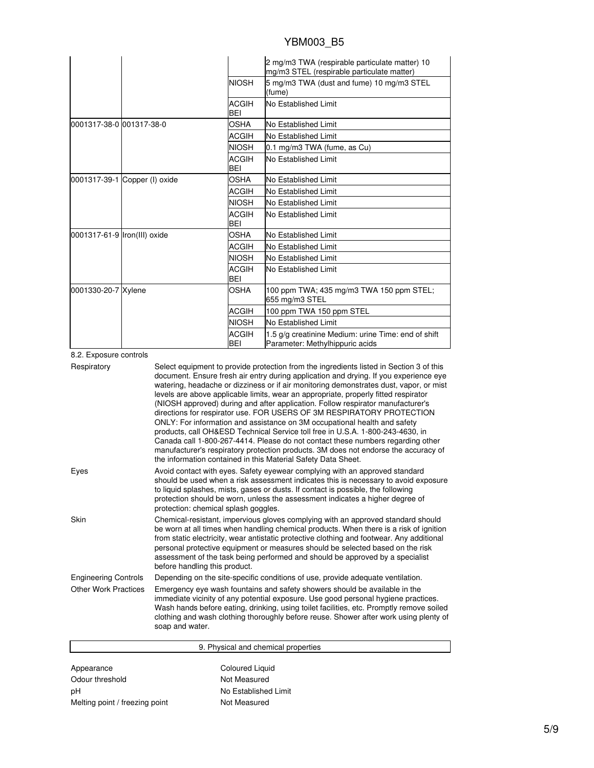|                              |                               |                            | 2 mg/m3 TWA (respirable particulate matter) 10<br>mg/m3 STEL (respirable particulate matter) |
|------------------------------|-------------------------------|----------------------------|----------------------------------------------------------------------------------------------|
|                              |                               | <b>NIOSH</b>               | 5 mg/m3 TWA (dust and fume) 10 mg/m3 STEL<br>(fume)                                          |
|                              |                               | <b>ACGIH</b><br><b>BEI</b> | No Established Limit                                                                         |
| 0001317-38-0 001317-38-0     |                               | OSHA                       | No Established Limit                                                                         |
|                              |                               | <b>ACGIH</b>               | No Established Limit                                                                         |
|                              |                               | <b>NIOSH</b>               | 0.1 mg/m3 TWA (fume, as Cu)                                                                  |
|                              |                               | <b>ACGIH</b><br><b>BEI</b> | No Established Limit                                                                         |
|                              | 0001317-39-1 Copper (I) oxide | <b>OSHA</b>                | No Established Limit                                                                         |
|                              |                               | <b>ACGIH</b>               | No Established Limit                                                                         |
|                              |                               | <b>NIOSH</b>               | No Established Limit                                                                         |
|                              |                               | <b>ACGIH</b><br><b>BEI</b> | No Established Limit                                                                         |
| 0001317-61-9 Iron(III) oxide |                               | <b>OSHA</b>                | No Established Limit                                                                         |
|                              |                               | <b>ACGIH</b>               | No Established Limit                                                                         |
|                              |                               | <b>NIOSH</b>               | No Established Limit                                                                         |
|                              |                               | <b>ACGIH</b><br>BEI        | No Established Limit                                                                         |
| 0001330-20-7 Xylene          |                               | <b>OSHA</b>                | 100 ppm TWA; 435 mg/m3 TWA 150 ppm STEL;<br>655 mg/m3 STEL                                   |
|                              |                               | <b>ACGIH</b>               | 100 ppm TWA 150 ppm STEL                                                                     |
|                              |                               | <b>NIOSH</b>               | No Established Limit                                                                         |
|                              |                               | <b>ACGIH</b><br>BEI        | 1.5 g/g creatinine Medium: urine Time: end of shift<br>Parameter: Methylhippuric acids       |

# 8.2. Exposure controls

| Respiratory                 | Select equipment to provide protection from the ingredients listed in Section 3 of this<br>document. Ensure fresh air entry during application and drying. If you experience eye<br>watering, headache or dizziness or if air monitoring demonstrates dust, vapor, or mist<br>levels are above applicable limits, wear an appropriate, properly fitted respirator<br>(NIOSH approved) during and after application. Follow respirator manufacturer's<br>directions for respirator use. FOR USERS OF 3M RESPIRATORY PROTECTION<br>ONLY: For information and assistance on 3M occupational health and safety<br>products, call OH&ESD Technical Service toll free in U.S.A. 1-800-243-4630, in<br>Canada call 1-800-267-4414. Please do not contact these numbers regarding other<br>manufacturer's respiratory protection products. 3M does not endorse the accuracy of<br>the information contained in this Material Safety Data Sheet. |
|-----------------------------|-----------------------------------------------------------------------------------------------------------------------------------------------------------------------------------------------------------------------------------------------------------------------------------------------------------------------------------------------------------------------------------------------------------------------------------------------------------------------------------------------------------------------------------------------------------------------------------------------------------------------------------------------------------------------------------------------------------------------------------------------------------------------------------------------------------------------------------------------------------------------------------------------------------------------------------------|
| Eyes                        | Avoid contact with eyes. Safety eyewear complying with an approved standard<br>should be used when a risk assessment indicates this is necessary to avoid exposure<br>to liquid splashes, mists, gases or dusts. If contact is possible, the following<br>protection should be worn, unless the assessment indicates a higher degree of<br>protection: chemical splash goggles.                                                                                                                                                                                                                                                                                                                                                                                                                                                                                                                                                         |
| Skin                        | Chemical-resistant, impervious gloves complying with an approved standard should<br>be worn at all times when handling chemical products. When there is a risk of ignition<br>from static electricity, wear antistatic protective clothing and footwear. Any additional<br>personal protective equipment or measures should be selected based on the risk<br>assessment of the task being performed and should be approved by a specialist<br>before handling this product.                                                                                                                                                                                                                                                                                                                                                                                                                                                             |
| <b>Engineering Controls</b> | Depending on the site-specific conditions of use, provide adequate ventilation.                                                                                                                                                                                                                                                                                                                                                                                                                                                                                                                                                                                                                                                                                                                                                                                                                                                         |
| <b>Other Work Practices</b> | Emergency eye wash fountains and safety showers should be available in the<br>immediate vicinity of any potential exposure. Use good personal hygiene practices.<br>Wash hands before eating, drinking, using toilet facilities, etc. Promptly remove soiled<br>clothing and wash clothing thoroughly before reuse. Shower after work using plenty of<br>soap and water.                                                                                                                                                                                                                                                                                                                                                                                                                                                                                                                                                                |

| 9. Physical and chemical properties |                      |  |
|-------------------------------------|----------------------|--|
| Appearance                          | Coloured Liquid      |  |
| Odour threshold                     | Not Measured         |  |
| рH                                  | No Established Limit |  |
| Melting point / freezing point      | Not Measured         |  |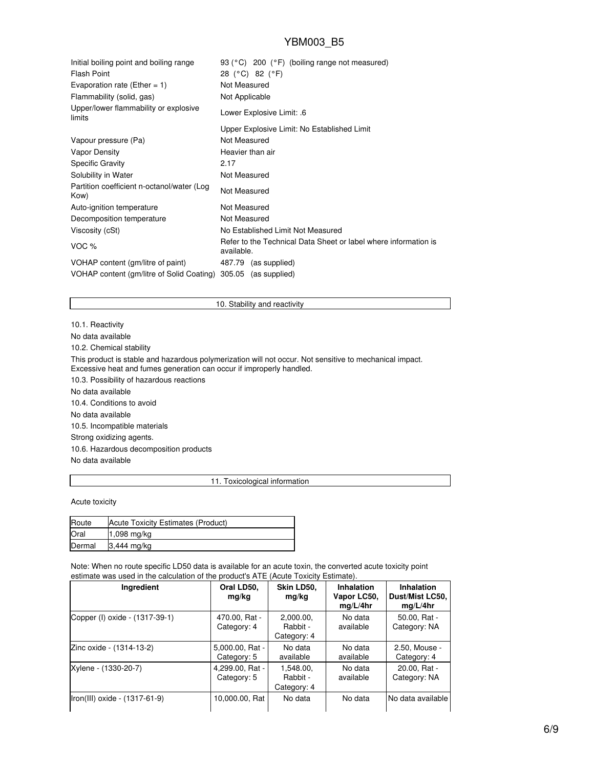| Initial boiling point and boiling range<br><b>Flash Point</b><br>Evaporation rate (Ether = 1) | 93 (°C) 200 (°F) (boiling range not measured)<br>28 (°C) 82 (°F)<br>Not Measured |
|-----------------------------------------------------------------------------------------------|----------------------------------------------------------------------------------|
| Flammability (solid, gas)                                                                     | Not Applicable                                                                   |
| Upper/lower flammability or explosive<br>limits                                               | Lower Explosive Limit: .6                                                        |
|                                                                                               | Upper Explosive Limit: No Established Limit                                      |
| Vapour pressure (Pa)                                                                          | Not Measured                                                                     |
| <b>Vapor Density</b>                                                                          | Heavier than air                                                                 |
| <b>Specific Gravity</b>                                                                       | 2.17                                                                             |
| Solubility in Water                                                                           | Not Measured                                                                     |
| Partition coefficient n-octanol/water (Log<br>Kow)                                            | Not Measured                                                                     |
| Auto-ignition temperature                                                                     | Not Measured                                                                     |
| Decomposition temperature                                                                     | Not Measured                                                                     |
| Viscosity (cSt)                                                                               | No Established Limit Not Measured                                                |
| VOC %                                                                                         | Refer to the Technical Data Sheet or label where information is<br>available.    |
| VOHAP content (gm/litre of paint)                                                             | 487.79 (as supplied)                                                             |
| VOHAP content (gm/litre of Solid Coating)                                                     | 305.05 (as supplied)                                                             |

# 10. Stability and reactivity

10.1. Reactivity No data available 10.2. Chemical stability This product is stable and hazardous polymerization will not occur. Not sensitive to mechanical impact. Excessive heat and fumes generation can occur if improperly handled. 10.3. Possibility of hazardous reactions No data available 10.4. Conditions to avoid No data available 10.5. Incompatible materials Strong oxidizing agents. 10.6. Hazardous decomposition products No data available

### 11. Toxicological information

Acute toxicity

| Route  | Acute Toxicity Estimates (Product) |
|--------|------------------------------------|
| Oral   | 1,098 mg/kg                        |
| Dermal | 3,444 mg/kg                        |

Note: When no route specific LD50 data is available for an acute toxin, the converted acute toxicity point estimate was used in the calculation of the product's ATE (Acute Toxicity Estimate).

| Ingredient                     | Oral LD50,<br>mg/kg            | Skin LD50,<br>mg/kg                  | <b>Inhalation</b><br>Vapor LC50.<br>mq/L/4hr | <b>Inhalation</b><br>Dust/Mist LC50,<br>mq/L/4hr |
|--------------------------------|--------------------------------|--------------------------------------|----------------------------------------------|--------------------------------------------------|
| Copper (I) oxide - (1317-39-1) | 470.00, Rat -<br>Category: 4   | 2,000.00,<br>Rabbit -<br>Category: 4 | No data<br>available                         | 50.00, Rat -<br>Category: NA                     |
| Zinc oxide - (1314-13-2)       | 5,000.00, Rat -<br>Category: 5 | No data<br>available                 | No data<br>available                         | 2.50, Mouse -<br>Category: 4                     |
| Xylene - (1330-20-7)           | 4,299.00, Rat -<br>Category: 5 | 1.548.00.<br>Rabbit -<br>Category: 4 | No data<br>available                         | 20.00, Rat -<br>Category: NA                     |
| Iron(III) oxide - (1317-61-9)  | 10,000.00, Rat                 | No data                              | No data                                      | No data available                                |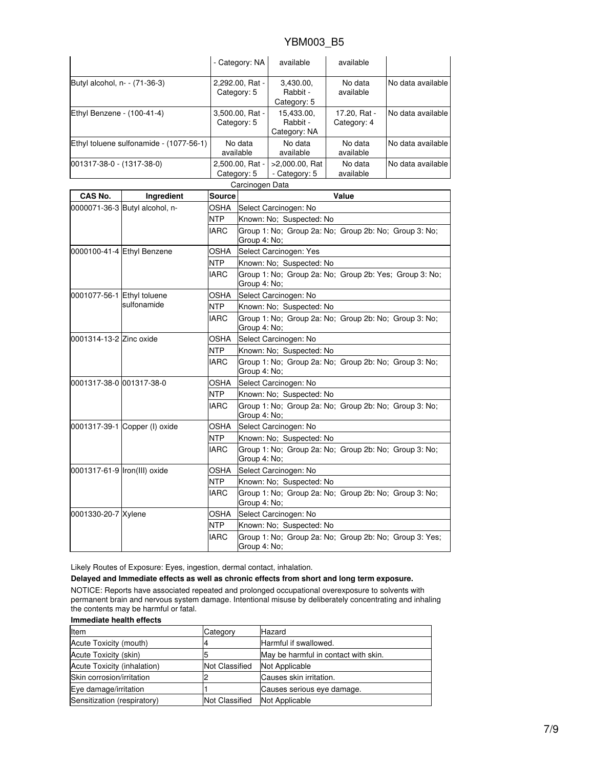|                                         |                                |                                | - Category: NA                                                         | available                              | available                   |                   |
|-----------------------------------------|--------------------------------|--------------------------------|------------------------------------------------------------------------|----------------------------------------|-----------------------------|-------------------|
| Butyl alcohol, n- - (71-36-3)           |                                | 2,292.00, Rat -<br>Category: 5 |                                                                        | 3,430.00,<br>Rabbit -<br>Category: 5   | No data<br>available        | No data available |
| Ethyl Benzene - (100-41-4)              |                                | 3,500.00, Rat -<br>Category: 5 |                                                                        | 15,433.00,<br>Rabbit -<br>Category: NA | 17.20, Rat -<br>Category: 4 | No data available |
| Ethyl toluene sulfonamide - (1077-56-1) |                                | No data<br>available           |                                                                        | No data<br>available                   | No data<br>available        | No data available |
| 001317-38-0 - (1317-38-0)               |                                | 2,500.00, Rat -<br>Category: 5 |                                                                        | >2,000.00, Rat<br>- Category: 5        | No data<br>available        | No data available |
|                                         |                                |                                | Carcinogen Data                                                        |                                        |                             |                   |
| CAS No.                                 | Ingredient                     | <b>Source</b>                  |                                                                        |                                        | Value                       |                   |
|                                         | 0000071-36-3 Butyl alcohol, n- | OSHA                           | Select Carcinogen: No                                                  |                                        |                             |                   |
|                                         |                                | <b>NTP</b>                     | Known: No; Suspected: No                                               |                                        |                             |                   |
|                                         |                                | <b>IARC</b>                    | Group 1: No; Group 2a: No; Group 2b: No; Group 3: No;<br>Group 4: No;  |                                        |                             |                   |
|                                         | 0000100-41-4 Ethyl Benzene     | OSHA                           | Select Carcinogen: Yes                                                 |                                        |                             |                   |
|                                         |                                | <b>NTP</b>                     | Known: No; Suspected: No                                               |                                        |                             |                   |
|                                         |                                | <b>IARC</b>                    | Group 1: No; Group 2a: No; Group 2b: Yes; Group 3: No;<br>Group 4: No; |                                        |                             |                   |
| 0001077-56-1 Ethyl toluene              |                                | OSHA                           | Select Carcinogen: No                                                  |                                        |                             |                   |
|                                         | sulfonamide                    | NTP                            | Known: No; Suspected: No                                               |                                        |                             |                   |
|                                         |                                | <b>IARC</b>                    | Group 1: No; Group 2a: No; Group 2b: No; Group 3: No;<br>Group 4: No;  |                                        |                             |                   |
| 0001314-13-2 Zinc oxide                 |                                | OSHA                           | Select Carcinogen: No                                                  |                                        |                             |                   |
|                                         |                                | NTP                            | Known: No; Suspected: No                                               |                                        |                             |                   |
|                                         |                                | <b>IARC</b>                    | Group 1: No; Group 2a: No; Group 2b: No; Group 3: No;<br>Group 4: No;  |                                        |                             |                   |
| 0001317-38-0 001317-38-0                |                                | OSHA                           |                                                                        | Select Carcinogen: No                  |                             |                   |
|                                         |                                | NTP                            | Known: No; Suspected: No                                               |                                        |                             |                   |
|                                         |                                | <b>IARC</b>                    | Group 1: No; Group 2a: No; Group 2b: No; Group 3: No;<br>Group 4: No;  |                                        |                             |                   |
|                                         | 0001317-39-1 Copper (I) oxide  | OSHA                           | Select Carcinogen: No                                                  |                                        |                             |                   |
|                                         |                                | NTP                            | Known: No; Suspected: No                                               |                                        |                             |                   |
|                                         |                                | <b>IARC</b>                    | Group 1: No; Group 2a: No; Group 2b: No; Group 3: No;<br>Group 4: No;  |                                        |                             |                   |
| 0001317-61-9 Iron(III) oxide            |                                | OSHA                           | Select Carcinogen: No                                                  |                                        |                             |                   |
|                                         |                                | NTP                            | Known: No; Suspected: No                                               |                                        |                             |                   |
|                                         |                                | <b>IARC</b>                    | Group 1: No; Group 2a: No; Group 2b: No; Group 3: No;<br>Group 4: No;  |                                        |                             |                   |
| 0001330-20-7 Xylene                     |                                | <b>OSHA</b>                    | Select Carcinogen: No                                                  |                                        |                             |                   |

Likely Routes of Exposure: Eyes, ingestion, dermal contact, inhalation.

**Delayed and Immediate effects as well as chronic effects from short and long term exposure.**

NOTICE: Reports have associated repeated and prolonged occupational overexposure to solvents with permanent brain and nervous system damage. Intentional misuse by deliberately concentrating and inhaling the contents may be harmful or fatal.

NTP Known: No; Suspected: No

Group 4: No;

IARC Group 1: No; Group 2a: No; Group 2b: No; Group 3: Yes;

# **Immediate health effects**

| Item                        | Category              | <b>Hazard</b>                        |
|-----------------------------|-----------------------|--------------------------------------|
| Acute Toxicity (mouth)      |                       | Harmful if swallowed.                |
| Acute Toxicity (skin)       |                       | May be harmful in contact with skin. |
| Acute Toxicity (inhalation) | <b>Not Classified</b> | Not Applicable                       |
| Skin corrosion/irritation   |                       | Causes skin irritation.              |
| Eye damage/irritation       |                       | Causes serious eye damage.           |
| Sensitization (respiratory) | <b>Not Classified</b> | Not Applicable                       |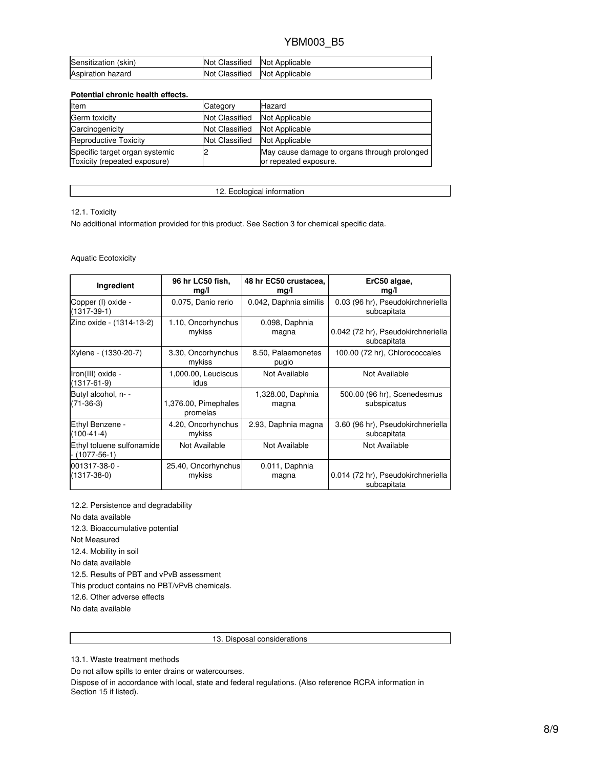| Sensitization (skin)     | Not Classified        | Not Applicable |
|--------------------------|-----------------------|----------------|
| <b>Aspiration hazard</b> | <b>Not Classified</b> | Not Applicable |

# **Potential chronic health effects.**

| Item                                                           | Category              | Hazard                                                                |
|----------------------------------------------------------------|-----------------------|-----------------------------------------------------------------------|
| Germ toxicity                                                  | <b>Not Classified</b> | Not Applicable                                                        |
| Carcinogenicity                                                | <b>Not Classified</b> | Not Applicable                                                        |
| <b>Reproductive Toxicity</b>                                   | <b>Not Classified</b> | Not Applicable                                                        |
| Specific target organ systemic<br>Toxicity (repeated exposure) |                       | May cause damage to organs through prolonged<br>or repeated exposure. |

12. Ecological information

12.1. Toxicity

No additional information provided for this product. See Section 3 for chemical specific data.

### Aquatic Ecotoxicity

| Ingredient                                 | 96 hr LC50 fish,             | 48 hr EC50 crustacea,       | ErC50 algae,                                     |
|--------------------------------------------|------------------------------|-----------------------------|--------------------------------------------------|
|                                            | mg/l                         | mg/l                        | mg/l                                             |
| Copper (I) oxide -<br>$(1317-39-1)$        | 0.075, Danio rerio           | 0.042, Daphnia similis      | 0.03 (96 hr), Pseudokirchneriella<br>subcapitata |
| Zinc oxide - (1314-13-2)                   | 1.10, Oncorhynchus           | 0.098, Daphnia              | 0.042 (72 hr), Pseudokirchneriella               |
|                                            | mykiss                       | magna                       | subcapitata                                      |
| Xylene - (1330-20-7)                       | 3.30, Oncorhynchus<br>mykiss | 8.50, Palaemonetes<br>pugio | 100.00 (72 hr), Chlorococcales                   |
| Iron(III) oxide -<br>$(1317 - 61 - 9)$     | 1,000.00, Leuciscus<br>idus  | Not Available               | Not Available                                    |
| Butyl alcohol, n- -                        | 1,376.00, Pimephales         | 1,328.00, Daphnia           | 500.00 (96 hr), Scenedesmus                      |
| $(71-36-3)$                                | promelas                     | magna                       | subspicatus                                      |
| Ethyl Benzene -                            | 4.20, Oncorhynchus           | 2.93, Daphnia magna         | 3.60 (96 hr), Pseudokirchneriella                |
| $(100-41-4)$                               | mykiss                       |                             | subcapitata                                      |
| Ethyl toluene sulfonamide<br>- (1077-56-1) | Not Available                | Not Available               | Not Available                                    |
| 001317-38-0 -                              | 25.40, Oncorhynchus          | 0.011, Daphnia              | 0.014 (72 hr), Pseudokirchneriella               |
| $(1317 - 38 - 0)$                          | mykiss                       | magna                       | subcapitata                                      |

12.2. Persistence and degradability No data available 12.3. Bioaccumulative potential Not Measured 12.4. Mobility in soil No data available 12.5. Results of PBT and vPvB assessment This product contains no PBT/vPvB chemicals. 12.6. Other adverse effects No data available

13. Disposal considerations

13.1. Waste treatment methods

Do not allow spills to enter drains or watercourses.

Dispose of in accordance with local, state and federal regulations. (Also reference RCRA information in Section 15 if listed).